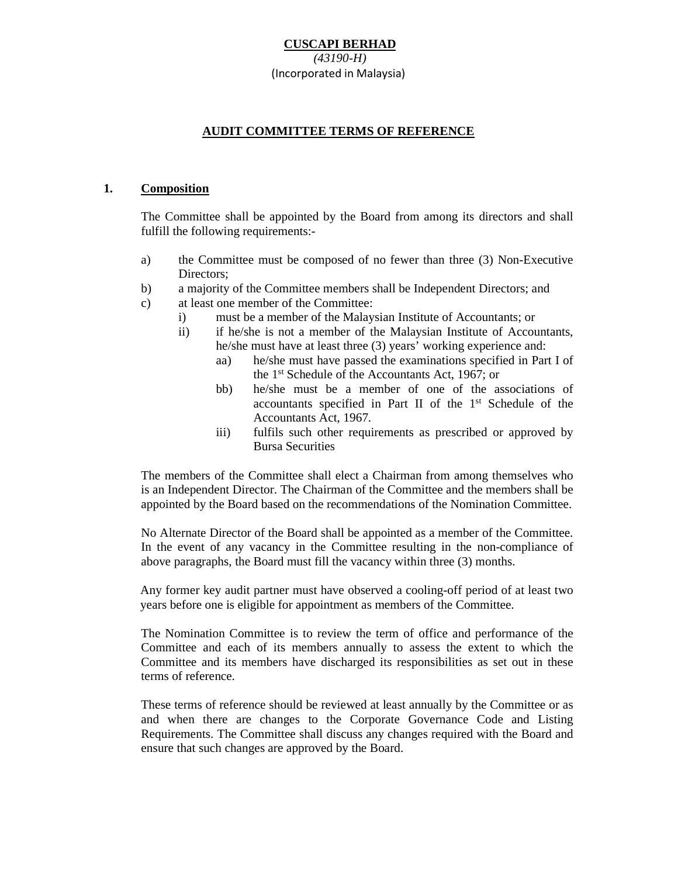# **AUDIT COMMITTEE TERMS OF REFERENCE**

#### **1. Composition**

The Committee shall be appointed by the Board from among its directors and shall fulfill the following requirements:-

- a) the Committee must be composed of no fewer than three (3) Non-Executive Directors;
- b) a majority of the Committee members shall be Independent Directors; and
- c) at least one member of the Committee:
	- i) must be a member of the Malaysian Institute of Accountants; or
	- ii) if he/she is not a member of the Malaysian Institute of Accountants, he/she must have at least three (3) years' working experience and:
		- aa) he/she must have passed the examinations specified in Part I of the 1st Schedule of the Accountants Act, 1967; or
		- bb) he/she must be a member of one of the associations of accountants specified in Part II of the 1st Schedule of the Accountants Act, 1967.
		- iii) fulfils such other requirements as prescribed or approved by Bursa Securities

The members of the Committee shall elect a Chairman from among themselves who is an Independent Director. The Chairman of the Committee and the members shall be appointed by the Board based on the recommendations of the Nomination Committee.

No Alternate Director of the Board shall be appointed as a member of the Committee. In the event of any vacancy in the Committee resulting in the non-compliance of above paragraphs, the Board must fill the vacancy within three (3) months.

Any former key audit partner must have observed a cooling-off period of at least two years before one is eligible for appointment as members of the Committee.

The Nomination Committee is to review the term of office and performance of the Committee and each of its members annually to assess the extent to which the Committee and its members have discharged its responsibilities as set out in these terms of reference.

These terms of reference should be reviewed at least annually by the Committee or as and when there are changes to the Corporate Governance Code and Listing Requirements. The Committee shall discuss any changes required with the Board and ensure that such changes are approved by the Board.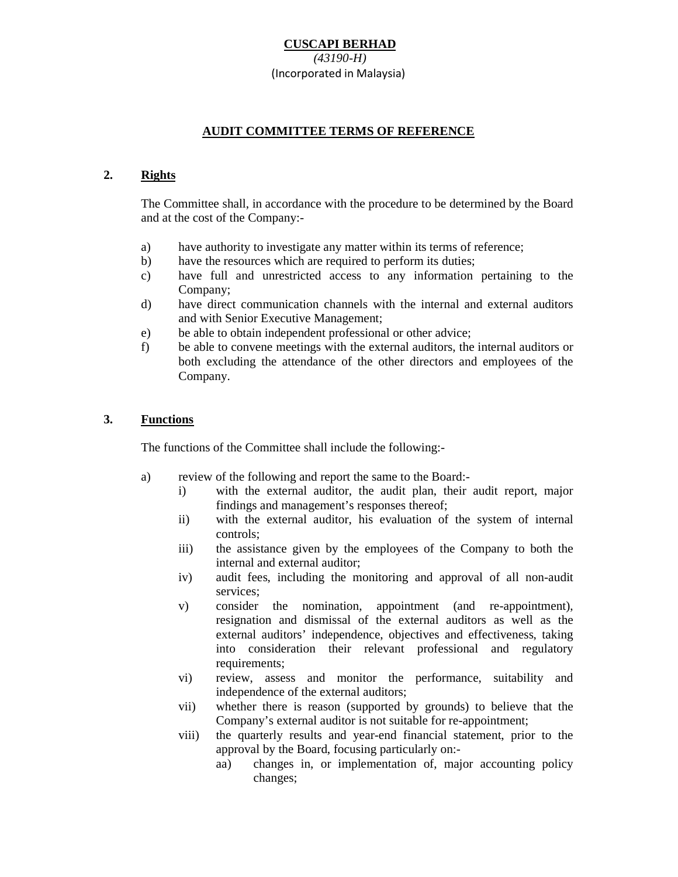## **AUDIT COMMITTEE TERMS OF REFERENCE**

#### **2. Rights**

The Committee shall, in accordance with the procedure to be determined by the Board and at the cost of the Company:-

- a) have authority to investigate any matter within its terms of reference;
- b) have the resources which are required to perform its duties;
- c) have full and unrestricted access to any information pertaining to the Company;
- d) have direct communication channels with the internal and external auditors and with Senior Executive Management;
- e) be able to obtain independent professional or other advice;
- f) be able to convene meetings with the external auditors, the internal auditors or both excluding the attendance of the other directors and employees of the Company.

#### **3. Functions**

The functions of the Committee shall include the following:-

- a) review of the following and report the same to the Board:
	- i) with the external auditor, the audit plan, their audit report, major findings and management's responses thereof;
	- ii) with the external auditor, his evaluation of the system of internal controls;
	- iii) the assistance given by the employees of the Company to both the internal and external auditor;
	- iv) audit fees, including the monitoring and approval of all non-audit services;
	- v) consider the nomination, appointment (and re-appointment), resignation and dismissal of the external auditors as well as the external auditors' independence, objectives and effectiveness, taking into consideration their relevant professional and regulatory requirements;
	- vi) review, assess and monitor the performance, suitability and independence of the external auditors;
	- vii) whether there is reason (supported by grounds) to believe that the Company's external auditor is not suitable for re-appointment;
	- viii) the quarterly results and year-end financial statement, prior to the approval by the Board, focusing particularly on:
		- aa) changes in, or implementation of, major accounting policy changes;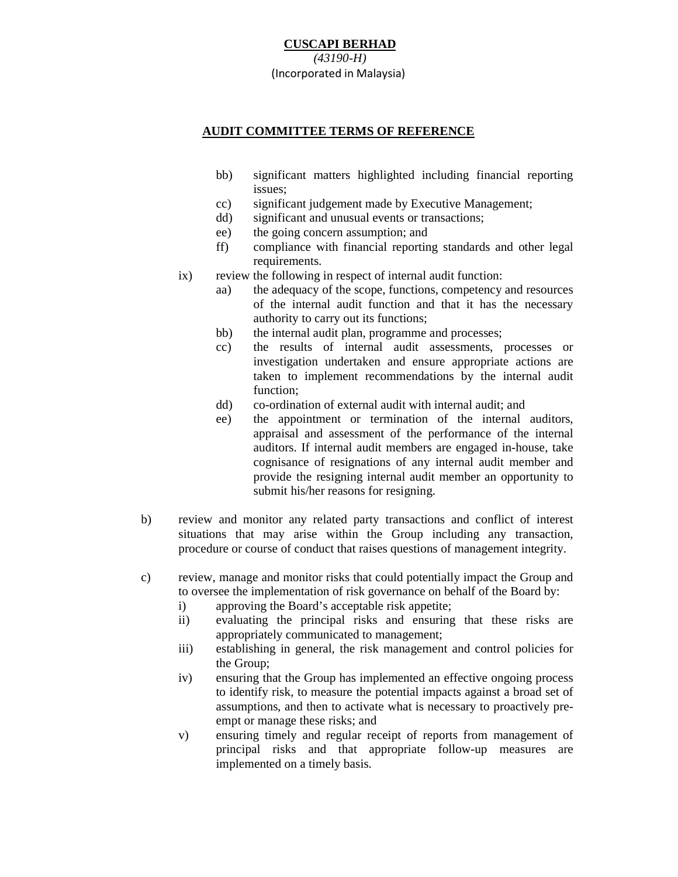### **AUDIT COMMITTEE TERMS OF REFERENCE**

- bb) significant matters highlighted including financial reporting issues;
- cc) significant judgement made by Executive Management;
- dd) significant and unusual events or transactions;
- ee) the going concern assumption; and
- ff) compliance with financial reporting standards and other legal requirements.
- ix) review the following in respect of internal audit function:
	- aa) the adequacy of the scope, functions, competency and resources of the internal audit function and that it has the necessary authority to carry out its functions;
	- bb) the internal audit plan, programme and processes;
	- cc) the results of internal audit assessments, processes or investigation undertaken and ensure appropriate actions are taken to implement recommendations by the internal audit function;
	- dd) co-ordination of external audit with internal audit; and
	- ee) the appointment or termination of the internal auditors, appraisal and assessment of the performance of the internal auditors. If internal audit members are engaged in-house, take cognisance of resignations of any internal audit member and provide the resigning internal audit member an opportunity to submit his/her reasons for resigning.
- b) review and monitor any related party transactions and conflict of interest situations that may arise within the Group including any transaction, procedure or course of conduct that raises questions of management integrity.
- c) review, manage and monitor risks that could potentially impact the Group and to oversee the implementation of risk governance on behalf of the Board by:
	- i) approving the Board's acceptable risk appetite;
	- ii) evaluating the principal risks and ensuring that these risks are appropriately communicated to management;
	- iii) establishing in general, the risk management and control policies for the Group;
	- iv) ensuring that the Group has implemented an effective ongoing process to identify risk, to measure the potential impacts against a broad set of assumptions, and then to activate what is necessary to proactively preempt or manage these risks; and
	- v) ensuring timely and regular receipt of reports from management of principal risks and that appropriate follow-up measures are implemented on a timely basis.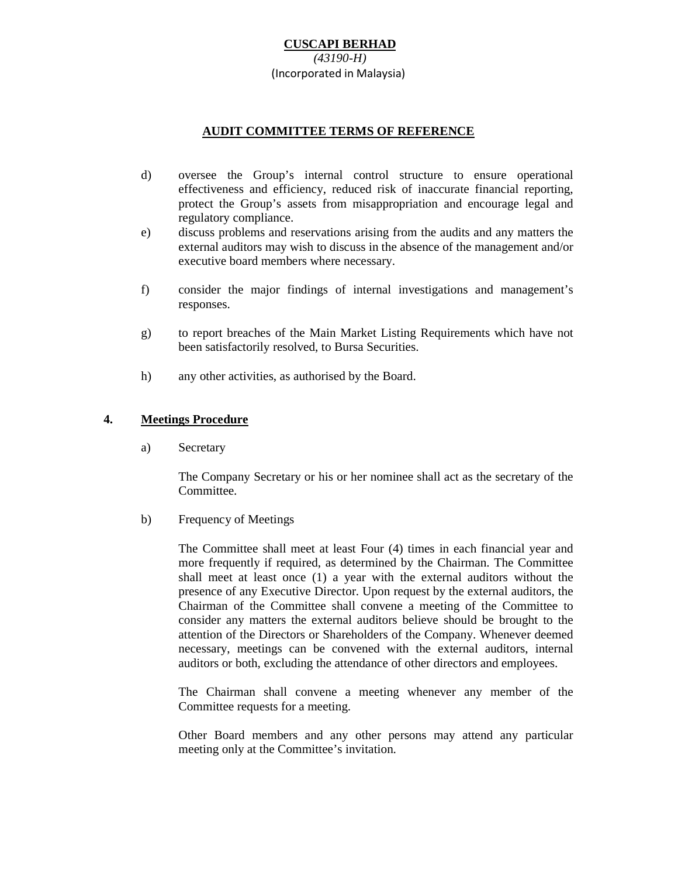### **AUDIT COMMITTEE TERMS OF REFERENCE**

- d) oversee the Group's internal control structure to ensure operational effectiveness and efficiency, reduced risk of inaccurate financial reporting, protect the Group's assets from misappropriation and encourage legal and regulatory compliance.
- e) discuss problems and reservations arising from the audits and any matters the external auditors may wish to discuss in the absence of the management and/or executive board members where necessary.
- f) consider the major findings of internal investigations and management's responses.
- g) to report breaches of the Main Market Listing Requirements which have not been satisfactorily resolved, to Bursa Securities.
- h) any other activities, as authorised by the Board.

#### **4. Meetings Procedure**

a) Secretary

The Company Secretary or his or her nominee shall act as the secretary of the Committee.

#### b) Frequency of Meetings

The Committee shall meet at least Four (4) times in each financial year and more frequently if required, as determined by the Chairman. The Committee shall meet at least once (1) a year with the external auditors without the presence of any Executive Director. Upon request by the external auditors, the Chairman of the Committee shall convene a meeting of the Committee to consider any matters the external auditors believe should be brought to the attention of the Directors or Shareholders of the Company. Whenever deemed necessary, meetings can be convened with the external auditors, internal auditors or both, excluding the attendance of other directors and employees.

The Chairman shall convene a meeting whenever any member of the Committee requests for a meeting.

Other Board members and any other persons may attend any particular meeting only at the Committee's invitation.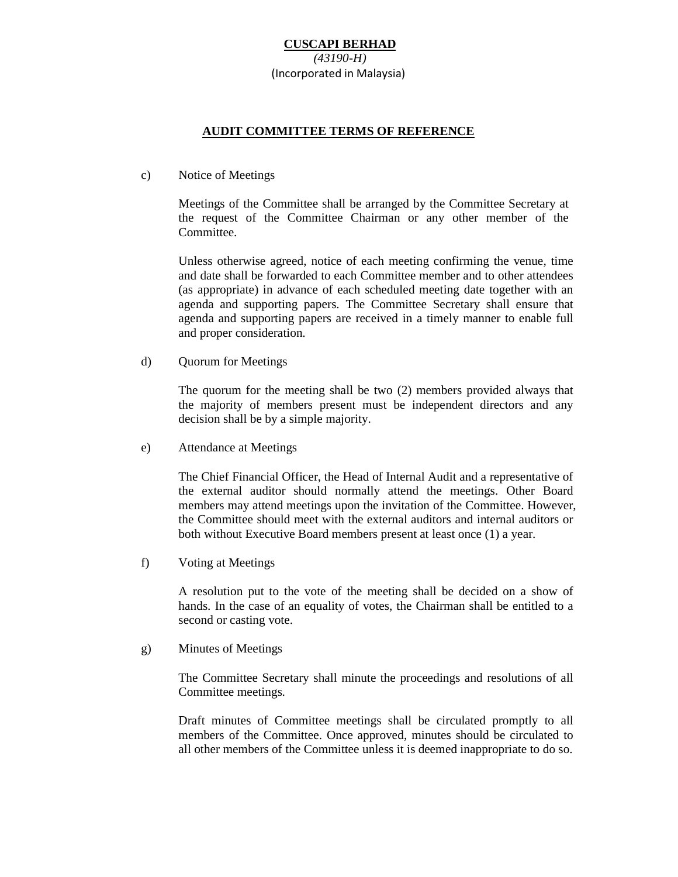### **AUDIT COMMITTEE TERMS OF REFERENCE**

c) Notice of Meetings

Meetings of the Committee shall be arranged by the Committee Secretary at the request of the Committee Chairman or any other member of the Committee.

Unless otherwise agreed, notice of each meeting confirming the venue, time and date shall be forwarded to each Committee member and to other attendees (as appropriate) in advance of each scheduled meeting date together with an agenda and supporting papers. The Committee Secretary shall ensure that agenda and supporting papers are received in a timely manner to enable full and proper consideration.

d) Quorum for Meetings

The quorum for the meeting shall be two (2) members provided always that the majority of members present must be independent directors and any decision shall be by a simple majority.

e) Attendance at Meetings

The Chief Financial Officer, the Head of Internal Audit and a representative of the external auditor should normally attend the meetings. Other Board members may attend meetings upon the invitation of the Committee. However, the Committee should meet with the external auditors and internal auditors or both without Executive Board members present at least once (1) a year.

f) Voting at Meetings

A resolution put to the vote of the meeting shall be decided on a show of hands. In the case of an equality of votes, the Chairman shall be entitled to a second or casting vote.

g) Minutes of Meetings

The Committee Secretary shall minute the proceedings and resolutions of all Committee meetings.

Draft minutes of Committee meetings shall be circulated promptly to all members of the Committee. Once approved, minutes should be circulated to all other members of the Committee unless it is deemed inappropriate to do so.